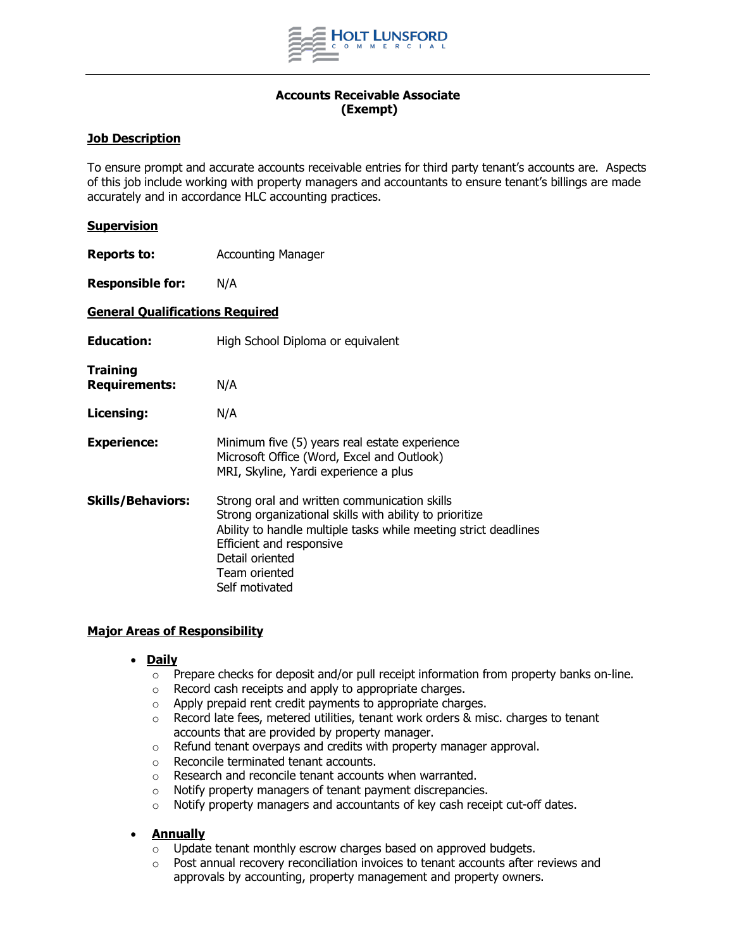

# **Accounts Receivable Associate (Exempt)**

## **Job Description**

To ensure prompt and accurate accounts receivable entries for third party tenant's accounts are. Aspects of this job include working with property managers and accountants to ensure tenant's billings are made accurately and in accordance HLC accounting practices.

### **Supervision**

**Reports to:** Accounting Manager

**Responsible for:** N/A

### **General Qualifications Required**

| <b>Education:</b>                       | High School Diploma or equivalent                                                                                                                                                                                                                            |
|-----------------------------------------|--------------------------------------------------------------------------------------------------------------------------------------------------------------------------------------------------------------------------------------------------------------|
| <b>Training</b><br><b>Requirements:</b> | N/A                                                                                                                                                                                                                                                          |
| Licensing:                              | N/A                                                                                                                                                                                                                                                          |
| <b>Experience:</b>                      | Minimum five (5) years real estate experience<br>Microsoft Office (Word, Excel and Outlook)<br>MRI, Skyline, Yardi experience a plus                                                                                                                         |
| <b>Skills/Behaviors:</b>                | Strong oral and written communication skills<br>Strong organizational skills with ability to prioritize<br>Ability to handle multiple tasks while meeting strict deadlines<br>Efficient and responsive<br>Detail oriented<br>Team oriented<br>Self motivated |

## **Major Areas of Responsibility**

- **Daily**
	- $\circ$  Prepare checks for deposit and/or pull receipt information from property banks on-line.
	- o Record cash receipts and apply to appropriate charges.
	- o Apply prepaid rent credit payments to appropriate charges.
	- $\circ$  Record late fees, metered utilities, tenant work orders & misc. charges to tenant accounts that are provided by property manager.
	- o Refund tenant overpays and credits with property manager approval.
	- o Reconcile terminated tenant accounts.
	- o Research and reconcile tenant accounts when warranted.
	- o Notify property managers of tenant payment discrepancies.
	- o Notify property managers and accountants of key cash receipt cut-off dates.

## • **Annually**

- o Update tenant monthly escrow charges based on approved budgets.
- $\circ$  Post annual recovery reconciliation invoices to tenant accounts after reviews and approvals by accounting, property management and property owners.